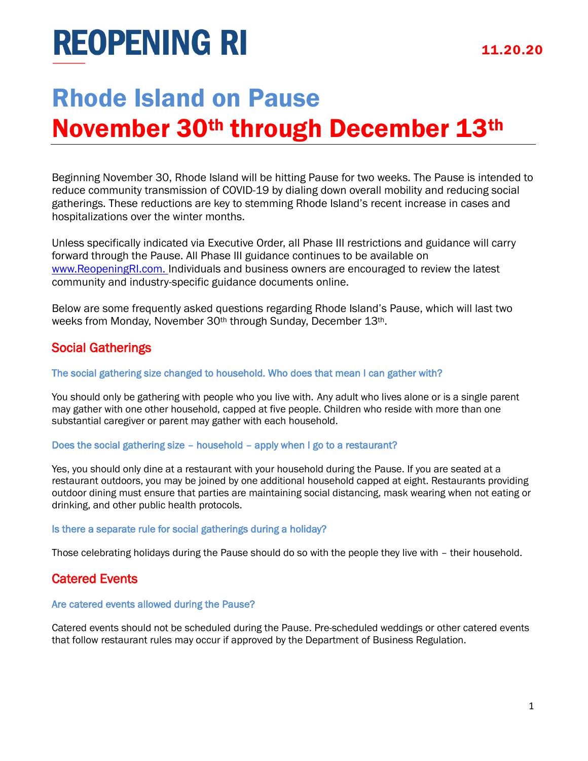## Rhode Island on Pause November 30th through December 13th

Beginning November 30, Rhode Island will be hitting Pause for two weeks. The Pause is intended to reduce community transmission of COVID-19 by dialing down overall mobility and reducing social gatherings. These reductions are key to stemming Rhode Island's recent increase in cases and hospitalizations over the winter months.

Unless specifically indicated via Executive Order, all Phase III restrictions and guidance will carry forward through the Pause. All Phase III guidance continues to be available on [www.ReopeningRI.com.](http://www.reopeningri.com/) Individuals and business owners are encouraged to review the latest community and industry-specific guidance documents online.

Below are some frequently asked questions regarding Rhode Island's Pause, which will last two weeks from Monday, November 30th through Sunday, December 13th.

## Social Gatherings

#### The social gathering size changed to household. Who does that mean I can gather with?

You should only be gathering with people who you live with. Any adult who lives alone or is a single parent may gather with one other household, capped at five people. Children who reside with more than one substantial caregiver or parent may gather with each household.

#### Does the social gathering size – household – apply when I go to a restaurant?

Yes, you should only dine at a restaurant with your household during the Pause. If you are seated at a restaurant outdoors, you may be joined by one additional household capped at eight. Restaurants providing outdoor dining must ensure that parties are maintaining social distancing, mask wearing when not eating or drinking, and other public health protocols.

#### Is there a separate rule for social gatherings during a holiday?

Those celebrating holidays during the Pause should do so with the people they live with – their household.

### Catered Events

#### Are catered events allowed during the Pause?

Catered events should not be scheduled during the Pause. Pre-scheduled weddings or other catered events that follow restaurant rules may occur if approved by the Department of Business Regulation.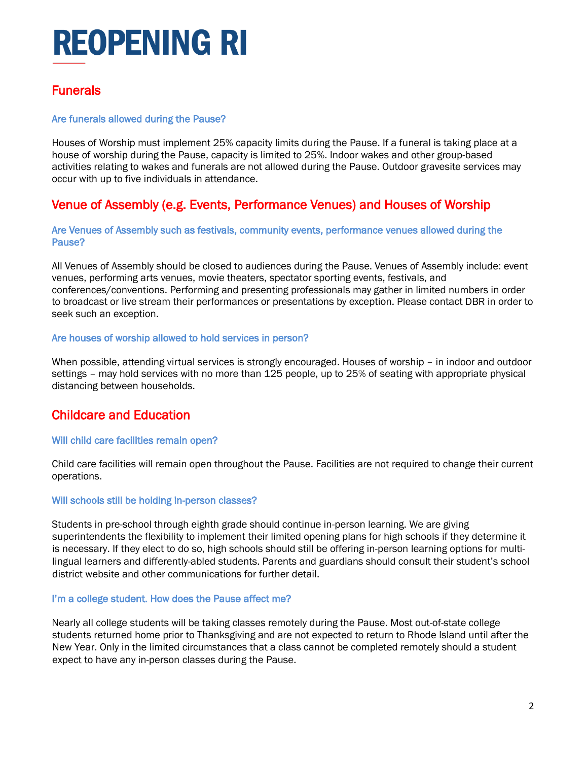## Funerals

#### Are funerals allowed during the Pause?

Houses of Worship must implement 25% capacity limits during the Pause. If a funeral is taking place at a house of worship during the Pause, capacity is limited to 25%. Indoor wakes and other group-based activities relating to wakes and funerals are not allowed during the Pause. Outdoor gravesite services may occur with up to five individuals in attendance.

## Venue of Assembly (e.g. Events, Performance Venues) and Houses of Worship

#### Are Venues of Assembly such as festivals, community events, performance venues allowed during the Pause?

All Venues of Assembly should be closed to audiences during the Pause. Venues of Assembly include: event venues, performing arts venues, movie theaters, spectator sporting events, festivals, and conferences/conventions. Performing and presenting professionals may gather in limited numbers in order to broadcast or live stream their performances or presentations by exception. Please contact DBR in order to seek such an exception.

#### Are houses of worship allowed to hold services in person?

When possible, attending virtual services is strongly encouraged. Houses of worship – in indoor and outdoor settings – may hold services with no more than 125 people, up to 25% of seating with appropriate physical distancing between households.

## Childcare and Education

#### Will child care facilities remain open?

Child care facilities will remain open throughout the Pause. Facilities are not required to change their current operations.

#### Will schools still be holding in-person classes?

Students in pre-school through eighth grade should continue in-person learning. We are giving superintendents the flexibility to implement their limited opening plans for high schools if they determine it is necessary. If they elect to do so, high schools should still be offering in-person learning options for multilingual learners and differently-abled students. Parents and guardians should consult their student's school district website and other communications for further detail.

#### I'm a college student. How does the Pause affect me?

Nearly all college students will be taking classes remotely during the Pause. Most out-of-state college students returned home prior to Thanksgiving and are not expected to return to Rhode Island until after the New Year. Only in the limited circumstances that a class cannot be completed remotely should a student expect to have any in-person classes during the Pause.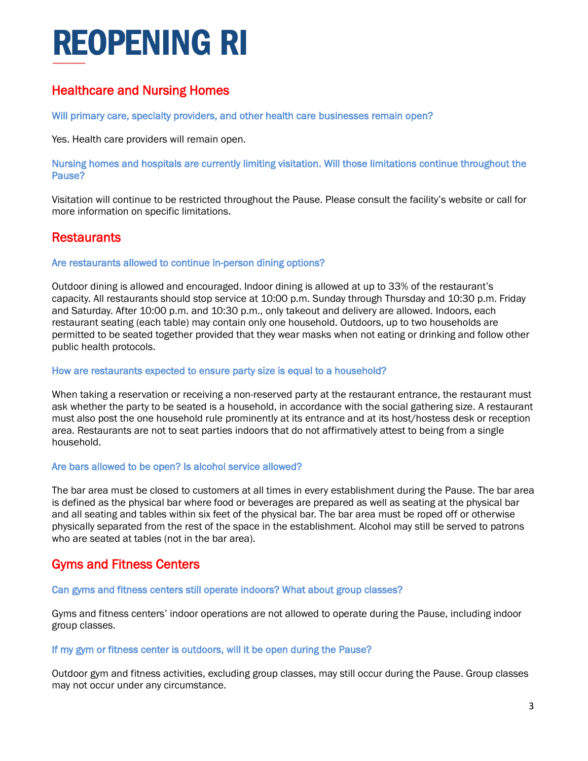## Healthcare and Nursing Homes

Will primary care, specialty providers, and other health care businesses remain open?

Yes. Health care providers will remain open.

Nursing homes and hospitals are currently limiting visitation. Will those limitations continue throughout the Pause?

Visitation will continue to be restricted throughout the Pause. Please consult the facility's website or call for more information on specific limitations.

## **Restaurants**

#### Are restaurants allowed to continue in-person dining options?

Outdoor dining is allowed and encouraged. Indoor dining is allowed at up to 33% of the restaurant's capacity. All restaurants should stop service at 10:00 p.m. Sunday through Thursday and 10:30 p.m. Friday and Saturday. After 10:00 p.m. and 10:30 p.m., only takeout and delivery are allowed. Indoors, each restaurant seating (each table) may contain only one household. Outdoors, up to two households are permitted to be seated together provided that they wear masks when not eating or drinking and follow other public health protocols.

#### How are restaurants expected to ensure party size is equal to a household?

When taking a reservation or receiving a non-reserved party at the restaurant entrance, the restaurant must ask whether the party to be seated is a household, in accordance with the social gathering size. A restaurant must also post the one household rule prominently at its entrance and at its host/hostess desk or reception area. Restaurants are not to seat parties indoors that do not affirmatively attest to being from a single household.

#### Are bars allowed to be open? Is alcohol service allowed?

The bar area must be closed to customers at all times in every establishment during the Pause. The bar area is defined as the physical bar where food or beverages are prepared as well as seating at the physical bar and all seating and tables within six feet of the physical bar. The bar area must be roped off or otherwise physically separated from the rest of the space in the establishment. Alcohol may still be served to patrons who are seated at tables (not in the bar area).

### Gyms and Fitness Centers

#### Can gyms and fitness centers still operate indoors? What about group classes?

Gyms and fitness centers' indoor operations are not allowed to operate during the Pause, including indoor group classes.

#### If my gym or fitness center is outdoors, will it be open during the Pause?

Outdoor gym and fitness activities, excluding group classes, may still occur during the Pause. Group classes may not occur under any circumstance.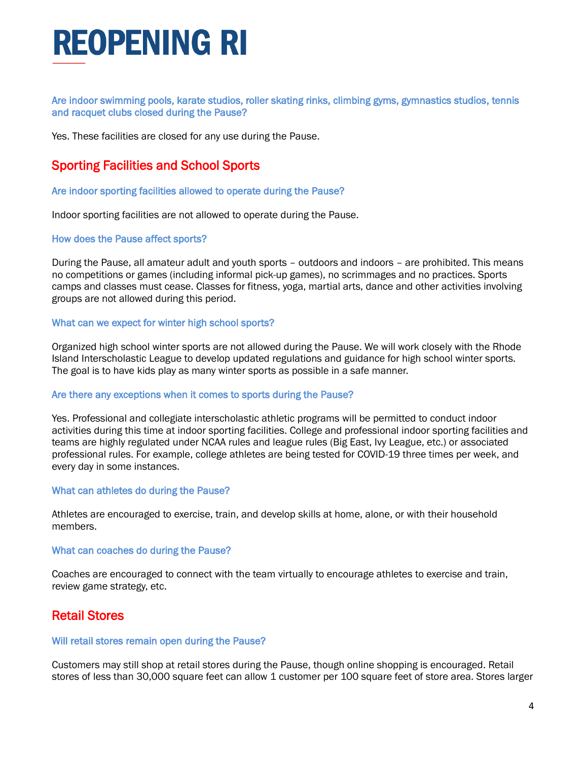Are indoor swimming pools, karate studios, roller skating rinks, climbing gyms, gymnastics studios, tennis and racquet clubs closed during the Pause?

Yes. These facilities are closed for any use during the Pause.

## Sporting Facilities and School Sports

Are indoor sporting facilities allowed to operate during the Pause?

Indoor sporting facilities are not allowed to operate during the Pause.

#### How does the Pause affect sports?

During the Pause, all amateur adult and youth sports – outdoors and indoors – are prohibited. This means no competitions or games (including informal pick-up games), no scrimmages and no practices. Sports camps and classes must cease. Classes for fitness, yoga, martial arts, dance and other activities involving groups are not allowed during this period.

#### What can we expect for winter high school sports?

Organized high school winter sports are not allowed during the Pause. We will work closely with the Rhode Island Interscholastic League to develop updated regulations and guidance for high school winter sports. The goal is to have kids play as many winter sports as possible in a safe manner.

#### Are there any exceptions when it comes to sports during the Pause?

Yes. Professional and collegiate interscholastic athletic programs will be permitted to conduct indoor activities during this time at indoor sporting facilities. College and professional indoor sporting facilities and teams are highly regulated under NCAA rules and league rules (Big East, Ivy League, etc.) or associated professional rules. For example, college athletes are being tested for COVID-19 three times per week, and every day in some instances.

#### What can athletes do during the Pause?

Athletes are encouraged to exercise, train, and develop skills at home, alone, or with their household members.

#### What can coaches do during the Pause?

Coaches are encouraged to connect with the team virtually to encourage athletes to exercise and train, review game strategy, etc.

### Retail Stores

#### Will retail stores remain open during the Pause?

Customers may still shop at retail stores during the Pause, though online shopping is encouraged. Retail stores of less than 30,000 square feet can allow 1 customer per 100 square feet of store area. Stores larger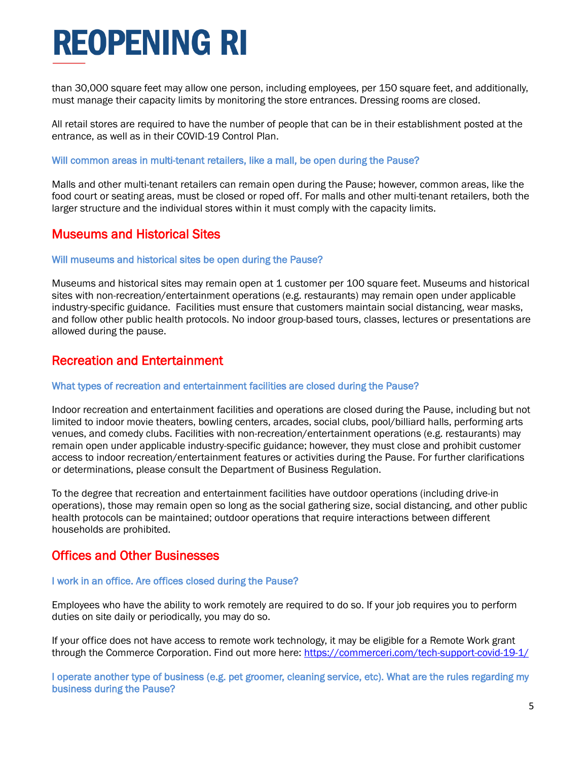than 30,000 square feet may allow one person, including employees, per 150 square feet, and additionally, must manage their capacity limits by monitoring the store entrances. Dressing rooms are closed.

All retail stores are required to have the number of people that can be in their establishment posted at the entrance, as well as in their COVID-19 Control Plan.

#### Will common areas in multi-tenant retailers, like a mall, be open during the Pause?

Malls and other multi-tenant retailers can remain open during the Pause; however, common areas, like the food court or seating areas, must be closed or roped off. For malls and other multi-tenant retailers, both the larger structure and the individual stores within it must comply with the capacity limits.

### Museums and Historical Sites

#### Will museums and historical sites be open during the Pause?

Museums and historical sites may remain open at 1 customer per 100 square feet. Museums and historical sites with non-recreation/entertainment operations (e.g. restaurants) may remain open under applicable industry-specific guidance. Facilities must ensure that customers maintain social distancing, wear masks, and follow other public health protocols. No indoor group-based tours, classes, lectures or presentations are allowed during the pause.

## Recreation and Entertainment

#### What types of recreation and entertainment facilities are closed during the Pause?

Indoor recreation and entertainment facilities and operations are closed during the Pause, including but not limited to indoor movie theaters, bowling centers, arcades, social clubs, pool/billiard halls, performing arts venues, and comedy clubs. Facilities with non-recreation/entertainment operations (e.g. restaurants) may remain open under applicable industry-specific guidance; however, they must close and prohibit customer access to indoor recreation/entertainment features or activities during the Pause. For further clarifications or determinations, please consult the Department of Business Regulation.

To the degree that recreation and entertainment facilities have outdoor operations (including drive-in operations), those may remain open so long as the social gathering size, social distancing, and other public health protocols can be maintained; outdoor operations that require interactions between different households are prohibited.

### Offices and Other Businesses

#### I work in an office. Are offices closed during the Pause?

Employees who have the ability to work remotely are required to do so. If your job requires you to perform duties on site daily or periodically, you may do so.

If your office does not have access to remote work technology, it may be eligible for a Remote Work grant through the Commerce Corporation. Find out more here:<https://commerceri.com/tech-support-covid-19-1/>

I operate another type of business (e.g. pet groomer, cleaning service, etc). What are the rules regarding my business during the Pause?